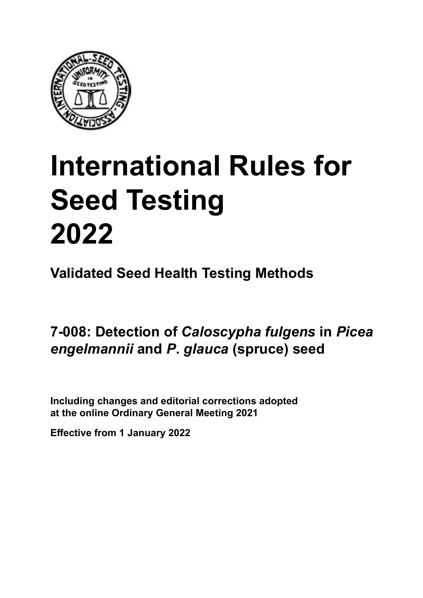

# **International Rules for Seed Testing von Saatgut 2022 2022 Semences 2022 International Rules for Seed Testing 2022**

**Métodos Validados para Análisis de Sanidad de Semillas Validate Méthodes Validées pour Analyse Sanitaire des Semences Validated Seed Health Testing Methods**

**7‑008: Detección de** *Caloscypha fulgens* **en semillas de** *Picea engelmannii* **y** *P***.** *glauca* **(abeto) 7‑008: Nachweis von** *Caloscypha fulgens* **an Détection de** *Caloscypha fulgens* **sur Samen von** *Picea engelmannii* **und** *P***.** *glauca* **(Fichte) semences de** *Picea engelmannii* **et** *P. glauca* **(sapin) Detection of** *Caloscypha fulgens* **in** *Picea engelmannii* **and** *P***.** *glauca* **(spruce) seed**

Including changes and editorial corrections adopted at the online Ordinary General Meeting 2021

**Effective from 1 January 2022**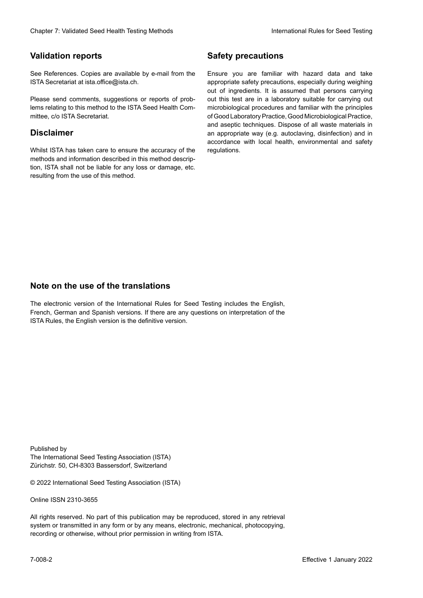### **Validation reports**

See References. Copies are available by e-mail from the<br>ISTA Secretariat at ista.office@ista.ch. ISTA Secretariat at ista.office@ista.ch.

lems relating to this method to the ISTA Seed Health Com-<br>mittee, c/o ISTA Secretariat. mittee, c/o ISTA Secretariat.<br>i Please send comments, suggestions or reports of prob-

### **Limitation de responsabilité Disclaimer**

Whilst ISTA has taken care to ensure the accuracy of the<br>methods and information described in this method description, ISTA shall not be liable for any loss or damage, etc.<br>resulting from the use of this method.<br>. resulting from the use of this method. Whilst ISTA has taken care to ensure the accuracy of the methods and information described in this method descrip-<br>tion, ISTA shall not be liable for any loss or damage, etc. tion, ISTA shall not be liable for any loss or damage, etc.<br>resulting from the use of this method.

### **Medidas de seguridad Sicherheitsmaßnahmen Sécurité Safety precautions**

Ensure you are familiar with hazard data and take Ensure you are familiar with hazard data and take<br>appropriate safety precautions, especially during weighing out of ingredients. It is assumed that persons carrying out this test are in a laboratory suitable for carrying out microbiological procedures and familiar with the principles of Good Laboratory Practice, Good Microbiological Practice, and aseptic techniques. Dispose of all waste materials in an appropriate way (e.g. autoclaving, disinfection) and in accordance with local health, environmental and safety regulations. Glade 7: Validated Deed Health Testing holesdos<br>
Gallet Corresponds<br>
Validation responds with a statistic by e-mail four ole Simuar you are Smith results and data and data and simular<br>
Simular Corresponds and and considere microbiological procedures and familiar with the principles<br>of Good Laboratory Practice, Good Microbiological Practice,<br>and aseptic techniques. Dispose of all waste materials in<br>an appropriate way (e.g. autoclaving, disinf fallstoffe sind auf geeignete Weise und entsprechend der vor Ort über der vor Ort über und Umwelt- und Umwelt-<br>Eine und Umwelt-Effective Counter of Nicholas Devel Teach Teach Teach Devel Safety precedutions<br>
Validation reports<br>
Safety precedution reports and the symbol state of the sementic of the symbol state of the based delay and share<br>
Propose of Good Laboratory Practice, Good Microbiological Practice,<br>and aseptic techniques. Dispose of all waste materials in<br>an appropriate way (e.g. autoclaving, disinfection) and in Validation reports<br>
Since The Texture 1988 and the mediator of the Since Theorem and Texture 1990 and the mediator of the mediator<br>
Since and out the properties and the mediator of the mediator of the mediator of the media Ensure you are familiar with hazard data and take<br>appropriate safety precautions, especially during weighing<br>out of ingredients. It is assumed that persons carrying<br>out this test are in a laboratory suitable for carrying o

### **Nota sobre el uso de traducciones Anmerkung zur Benutzung der Übersetzungen Note on the use of the translations**

The electronic version of the International Rules for Seed Testing includes the English, French, German and Spanish versions. If there are any questions on interpretation of the ISTA Rules, the English version is the definitive version. The electronic version of the International Rules for Seed Testing includes the English,<br>French, German and Spanish versions. If there are any questions on interpretation of the<br>ISTA Rules, the English version is the defin The electronic version of the International Rules for Seed Testing includes the English,<br>French, German and Spanish versions. If there are any questions on interpretation of the

Published by **Extending Association (ISTA)** The International Seed Testing Association (ISTA) Zürichstr. 50, CH-8303 Bassersdorf, Switzerland

© 2022 International Seed Testing Association (ISTA)

Alle Rechte vorbehalten. Kein Teil dieses Werkes darf in irgendwelcher Form oder durch Online ISSN 2310-3655

All rights reserved. No part of this publication may be reproduced, stored in any retrieval All rights reserved. No part of this publication may be reproduced, stored in any retrieval<br>system or transmitted in any form or by any means, electronic, mechanical, photocopying,<br>recording or otherwise, without prior per recording or otherwise, without prior permis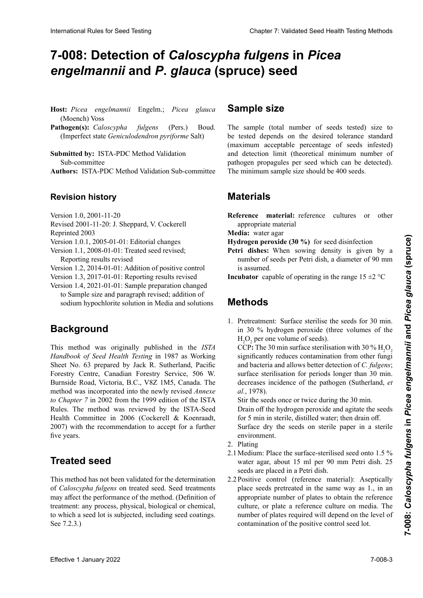## 7-008: Detection of *Caloscypha fulgens* in *Picea* engelmannii and P. glauca (spruce) seed

- Host: Picea engelmannii Engelm.; Picea glauca (Moench) Voss (Moench) Voss
- Pathogen(s): *Caloscypha fulgens* (Pers.) Boud. Pathogen(s): Caloscypha fulgens (Pers.) Boud.<br>(Imperfect state Geniculodendron pyriforme Salt)

**Submitted by: ISTA-PDC Method Validation** Sub-committee **Authors:** ISTA-PDC Method Validation Sub-committee

## **Historial de revisiones Revisionsstand Revision history**

- Versión 1.0, 2001-11-20 **Historique de la révision** Version 1.0, 2001-11-20
- version 1.0, 2001-11-20<br>Revised 2001-11-20: J. Sheppard, V. Cockerell
- Reprinted 2003  $\text{Reprinted } 2003$

Version  $1.0.1$ ,  $2005-01-01$ : Editorial changes Version 1.0.1, 2005-01-01: Editorial changes

- Version 1.1, 2008-01-01: Treated seed revised; Reporting results revised
- Version 1.2, 2014-01-01: Addition of positive control
- Version 1.3, 2017-01-01: Reporting results revised
- Version 1.4, 2021-01-01: Sample preparation changed to Sample size and paragraph revised; addition of sodium hypochlorite solution in Media and solutions

### **Antecedentes** changé à « Taille de l'échantillon » et le paragraphe **Background**

Handbook of Seed Health Testing in 1987 as Working Sheet No. 63 prepared by Jack R. Sutherland, Pacific N° 63 preparado por Jack, R. Sutherland, Pacific Forestry *Handbook of Seed Health Testing* als Arbeitsanweisung **Historique** Forestry Centre, Canadian Forestry Service, 506 W. Burnside Road, Victoria, B.C., V8Z 1M5, Canada. The<br>method was incorporated into the newly revised *Annexe* method was incorporated into the newly revised *Annexe* to Chapter 7 in 2002 from the 1999 edition of the ISTA Rules. The method was reviewed by the ISTA-Seed<br>Health Committee in 2006 (Cockerell, & Koenraadt Health Committee in 2006 (Cockerell & Koenraadt,  $2007$ ) with the recommendation to eccent for a further  $\cos(\theta)$  with the recommendation to acet This method was originally published in the *ISTA*  $2007$ ) with the recommenderion to eccent for a further  $\mathcal{L}(\mathcal{O}(\epsilon))$  while the recommendation to accept for a further  $\mathbf{A}$ 2007) with the recommendation to accept for a further five years. blanchion Robert Search Control Calculation Control Calculation Control Calculation Control Calculation Control Control Control Control Control Control Control Control Control Control Control Control Control Control Contr five years.

#### **Semilla tratada Behandeltes (gebeiztes) Saatgut Treated seed** mandation de l'accepter pour les cinq années à venir.

Este método no ha sido validado para la determinación de This method has not been validated for the determination of *Caloscypha fulgens* on treated seed. Seed treatments may affect the performance of the method. (Definition of treatment: any process, physical, biological or chemical, to which a seed lot is subjected, including seed coatings.  $\text{See } 7.2.3.$ )

#### **Sample size** l'enrobage. Voir 7.2.3.)

The sample (total number of seeds tested) size to be tested depends on the desired tolerance standard<br>(maximum acceptable percentage of seeds infested) the usual depends on the desired tolerance standard (maximum acceptable percentage of seeds infested) and detection limit (theoretical minimum number of ma ecosion mine (instruction minimum number of parrogen propagares per seca winen eur ce accesseur. semillas. patrogen propagares per social which can be detected. me minimum puisson propagares per secu which can se accessed). The minimum sample size should be 400 seeds.

#### **Materiales Material** propagules de l'agent pathogène par semence pouvant être **Materials** détective minimum de l'échantillon de l'échantillon de l'échantillon de l'échantillon de l'échantillon de va

**Reference inaterial:** reference cultures or other appropriate material Reference material: reference cultures or other

**Media:** water agar.

- **Hydrogen peroxide (30 %)** for seed disinfection.
- **Petri dishes:** When sowing density is given by a number of seeds per Petri dish, a diameter of 90 mm is assumed.

**Incubator** capable of operating in the range  $15 \pm 2$  °C

#### **Boîtes de Pétri :** La densité de l'ensemencement est don**néerthods**

#### in 30 % hydrogen peroxide (three volumes of the  $H_2O_2$  per one volume of seeds). 1. Pretreatment: Surface sterilise the seeds for 30 min.

 $CCP:$  The 30 min surface sterilisation with 30 %  $H_2O_2$ significantly reduces contamination from other fungi and bacteria and allows better detection of *C. fulgens*; surface sterilisation for periods longer than 30 min.<br>decreases incidence of the pathogen (Sutherland, et decreases incidence of the pathogen (Sutherland, *et al.* 1978). superficie por períodos mayores a 30 minutos disminu-anderen Pilzen und Bakterien und erlaubt eine genau-*al.*, 1978).

Stir the seeds once or twice during the 30 min.

Drain off the hydrogen peroxide and agitate the seeds<br>for 5 min in sterile, distilled water: then drain off for 5 min in sterile, distilled water; then drain off.

President and the seeds on storile peror in a storile durante los 5 minutos en agua der 30 minutos en agua der 30 min um rune de Surface dry the seeds on sterile paper in a sterile  $\mathbf{D}$ latin sobre papel es- $\sum_{i=1}^{n}$ Surface dry the seeds on sterile paper in a sterile environment l'incidence du pathogène (Sutherland *et al.*, 1978). environment.

- 2. Plating
- t turng.<br>Medianus Desertes median  $2.1$  ividuality water agai, about 19 milliper 70 min i etit uisn. 29 secus are placed in a 1 etit uisit. 2.1 Medium: Place the surface-sterilised seed onto 1.5 %  $\frac{1}{4}$ water agar, about 15 ml per 90 mm Petri dish. 25 seeds are placed in a Petri dish.
- seeds are placed in a retir disti.<br>2.2 Positive control (reference material): Aseptically place seeds pretreated in the same way as 1., in an appropriate number of plates to obtain the reference culture, or plate a reference culture on media. The number of plates required will depend on the level of contamination of the positive control seed lot.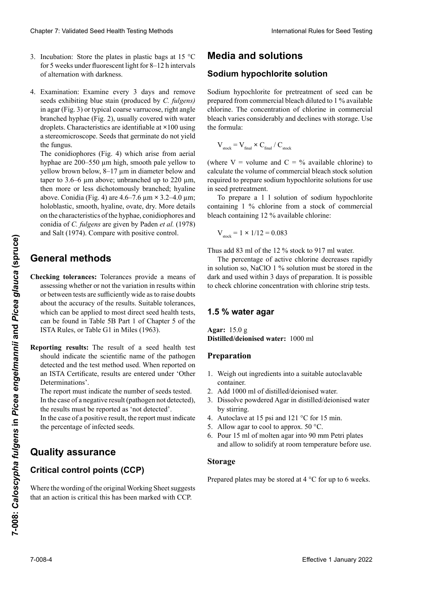- Incubation: Store the plates in plastic bags at 15  $^{\circ}$ C Incubation: Store the plates in plastic bags at 15 °C<br>for 5 weeks under fluorescent light for 8–12 h intervals of alternation with darkness.
- Examination: Examine every 3 days and remove seeds exhibiting blue stain (produced by *C. fulgens)* in agar (Fig. 3) or typical coarse varrucose, right angle<br>branched hyphae (Fig. 2) usually covered with water branched hyphae (Fig. 2), usually covered with water droplets. Characteristics are identifiable at **×**100 using a stereomicroscope. Seeds that germinate do not yield  $\frac{1}{2}$  definition of the fungus. 2.2 of alternation with darkness.<br>
2.2 Controller as a manifer as seeds exhibiting blue stain (produced by *C. fulgens*)  $\frac{d}{dx}$ 4. Examination: Examine every 3 days and remove

The conidiophores (Fig. 4) which arise from aerial hyphae are  $200-550 \mu m$  high, smooth pale yellow to desarrollan el hongonie (produite part *yenew* to yellow brown below, 8–17 µm in diameter below and fulgencial bedeckt sind. The mall unter delection and taper to 3.6–6 μm above; unbranched up to 220 μm, report to 3.0  $\sigma$   $\mu$ m doove, difference up to 220  $\mu$ m, then more or less dichotomously branched; hyaline suave a amarillo parameter abando abando abando abando abando abando diámetro diámetro diámetro diámetro diámetro diámetro diámetro diámetro diámetro diámetro diámetro diámetro diámetro diámetro diámetro diámetro diámetro above. Comula (Fig.  $\pi$ ) are  $\pi$ , $\sigma$ -6,  $\mu$ m arriba; sin  $\mu$ m, noioolastic, sinootii, hyanne, ovate, dry. More details notionastic, sinootif, hyanne, ovate, dry. More details<br>on the characteristics of the hyphae, conidiophores and conidia of C. fulgens are given by Paden et al. (1978) and Salt (1974). Compare with positive control. Clearies 7. Validierte University (1. Januar 2022)<br>
Statistical absolute the statistical political absolute the statistical energy of the statistical control international control international control international contr  $S_{\text{S}}$  die keine keine keine keine nicht mit dem Pilz infinite dem Pilz infinite mit dem Pilz in finite dem Pilz infinite dem Pilz infinite dem Pilz infinite dem Pilz infinite dem Pilz infinite dem Pilz infinite dem Pi  $\frac{\mu_{\text{D}}}{\mu_{\text{D}}}$ , Conidia (Fig.  $\pi$ ) are  $\pi$ ,  $\mu$ m  $\sim$  3.2– $\pi$ ,  $\mu$ m, Chaos 7 Voldskel Sesel beell Territoir Maria Medical Description in the studies of the School Section 2. An additional Section 2. An additional Section 2. An additional Section 2. An additional Section 2. An additional Se habitude de  $\frac{1}{2}$  de gouter de  $\frac{1}{2}$  d'au. Les carabove. Conidia (Fig. 4) are 4.6–7.6 μm × 3.2–4.0 μm;<br>behavior between the low production of the low production of the low production of the low production of the lo 3. In the basic of register in plane in the basic basic interest in 15 °C. Monthain and **Solution of the second and solution** of the second and the second of the second of the second of the second of the second of the sec holoblastic, smooth, hyaline, ovate, dry. More details

#### se encuentran en Paden *et al*., (1978) y Salt (1974). **Preal methods** 220 µm, puis plus ou moins branché de façon dicho-**General methods**

- **Checking tolerances:** Tolerances provide a means of assessing whether or not the variation in results within about the accuracy of the results. Suitable tolerances, about the accuracy of the results. Suitable tolerances,<br>which can be applied to most direct seed health tests,<br>can be found in Table 5B Part 1 of Chapter 5 of the<br>ISTA Rules, or Table G1 in Miles (1963). can be found in Table 5B Part 1 of Chapter 5 of the **ISTA Rules, or Table G1 in Miles (1963). Checking tolerances:** Tolerances provide a means of or between tests are sufficiently wide as to raise doubts **Méthodes générales**
- **Reporting results:** The result of a seed health test should indicate the scientific name of the pathogen should indicate the scientific name of the pathogen<br>detected and the test method used. When reported on detected and the test method used. When reported on<br>an ISTA Certificate, results are entered under 'Other an ISTA Certificate, results are entered under 'Other Determinations'. Determinations'.<br>The report must indicate the number of seeds tested.

The report must indicate the number of seeds tested.<br>In the case of a negative result (pathogen not detected) In the case of a negative result (pathogen not detected),<br>the results must be reported as 'not detected'.<br>In the case of a positive result, the report must indicate the results must be reported as 'not detected'.

In the case of a positive result, the report must indicate dos de ben ser ingresses de ben ser ingresses de terminaciones.<br>the normalizes of infected society. El informe debe indicar el número de semillas  $\frac{1}{2}$  einer Gesundheitsprüfung von Saatgut sollte den wissenschaftlichen Name des Krankheitserregers und die verwendete Methode enthalten. Bei Berichterstattung the percentage of infected seeds.

#### En el caso de un resultado negativo (patógeno no detecture ser information de ben ser information de ben ser information de la communicación de la comunicación d auf einem ISTA-Bericht sind die Ergebnisse unter aanty aboutanoo scientifique du pathogène détecté et la méthode d'essai **Quality assurance**

#### .<br>41.eelee.  $m_{\rm H}$  candro positivo, el informe de la información de la información de la información de la información de la información de la información de la información de la información de la información de la información de l Der Prüfbericht muss die Anzahl untersuchter Samen ilivar v minations<br>September 1980 in the Bulletin ISO. Critical control points (CCP)

indicar el porcentaje de semillas infectadas Im Falle eines negativen Ergebnisses (Krankheitserere ine wording of the original working sheet suggests Where the wording of the original working sheet suggests that an action is critical this has been marked with CCP. Where the wording of the original Working Sheet suggests

## **Aseguramiento de calidad Qualitätssicherung Assurance qualité Media and solutions**

### **Puntos críticos de control (PCC) Kritische Kontrollpunkte (KKP) Points critiques de contrôle (CCP) Sodium hypochlorite solution**

Sodium hypochlorite for pretreatment of seed can be prepared from commercial bleach diluted to 1 % available<br>chlorine. The concentration of chlorine in commercial **Medios y soluciones Milieux et solutions** the formula: **Medicinal** chlorine. The concentration of chlorine in commercial bleach varies considerably and declines with storage. Use

$$
\rm V_{\rm stock} = \rm V_{\rm final} \times \rm C_{\rm final} \, / \, \rm C_{\rm stock}
$$

(where  $V =$  volume and  $C = \%$  available chlorine) to (where  $\sim$  volume and  $\sim$   $\sim$  a vanuation volume of commercial bleach stock solution cial dialecture divido al 1 % de concentración divido al 1 % de concentración de concentración de concentració de comercial variation en el comercial variation comercial variation considerablemente en el constant de constantin de constantin de constantin de constantin de constantin de constantin de constantin de constantin de const saatgute kann aus einem bereiten bleich Bleichmittel (Nacalculate the volume of commercial bleach stock solution<br>required to prepare sodium hypochlorite solutions for use in seed pretreatment.

m see prueamen.<br>Tration von 1 declariton vol ar linux la chlorito valiling 1 70 chiorine in<br>ash containing 12 % avoi on prepare a 1 i solution of soutun hypoemorite containing 1 % chlorine from a stock of commercial bleach containing 12 % available chlorine: In seed pretreament.<br>To prepare a 1 l solution of sodium hypochlorite

$$
V_{\text{stock}} = 1 \times 1/12 = 0.083
$$

cial requerido para preparar la solución de hipoclorito de Thus add 83 ml of the 12 % stock to 917 ml water.

The percentage of active chlorine decreases rapidly in solution so, NaClO  $\perp$ % solution must be stored in the dark and used within 3 days of preparation. It is possible to check chlorine concentration with chlorine strip tests. The percentage of active chlorine decreases rapidly<br>in solution so, NaClO 1 % solution must be stored in the<br>dark and used within 3 days of preparation. It is possible in solution so, NaClO 1 % solution must be stored in the

# 1.5 % water agar

**Agar:** 15.0 g Agar: 15.0 g<br>Distilled/deionised water: 1000 ml

### **Preparation**

- 1. Weigh out ingredients into a suitable autoclavable schnell ab, daher muss NaClO 1 %ige Lösung im Dunkeln **Eau gélosée à 1,5 % d'agar** container.
- 2. Add 1000 ml of distilled/deionised water.
- by stirring. 3. Dissolve powdered Agar in distilled/deionised water
- 4. Autoclave at 15 psi and 121 °C for 15 min.
- 5. Allow agar to cool to approx. 50 °C.
- **Property Property Property Property 1. Allow agar to coor to approx.** 30 °C.<br>**6.** Pour 15 ml of molten agar into 90 mm Petri plates and allow to solidify at room temperature before use.

#### $P_{\text{trunc}}$ nage **Designations**  $2.00 \text{ age}$

2. Agregar 1000 ml de agua destilada/desionizada. Prepared plates may be stored at 4 °C for up to 6 weeks. 3. Dissoudre l'agar en poudre dans l'eau distillée/désio-Prepared plates may be stored at  $4^{\circ}$ C for up to 6 weeks.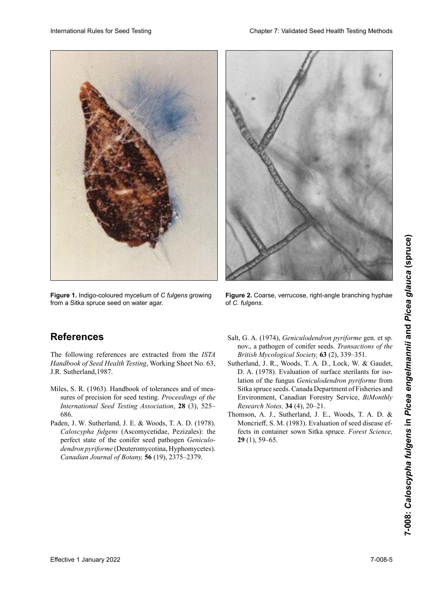

**Figure 1.** Indigo-coloured mycelium of C fulgens growing from a Sitka spruce seed on water agar.



**Figure 2.** Coarse, verrucose, right-angle branching hyphae of *C. fulgens.* 

## **References**

The following references are extracted from the *ISTA* Handbook of Seed Health Testing, Working Sheet No. 63, J.R. Sutherland,1987.

- Miles, S. R. (1963). Handbook of tolerances and of mea-International Seed Testing Association, 28 (3), 525– 6 semanas. **Références** 686. sures of precision for seed testing. *Proceedings of the*
- perfect state of the conifer seed pathogen *Geniculo-*Las siguientes referencias han sido extraídas del *ISTA*  **Literaturquellen** *Canadian Journal of Botany,* **56** (19), 2375–2379. Paden, J. W. Sutherland, J. E. & Woods, T. A. D. (1978). Caloscypha fulgens (Ascomycetidae, Pezizales): the *dendron pyriforme* (Deuteromycotina, Hyphomycetes).
- *British Mycological Society,* **63** (2), 339–351. Salt, G. A. (1974), *Geniculodendron pyriforme* gen. et sp. nov., a pathogen of conifer seeds. *Transactions of the*
- lation of the fungus *Geniculodendron pyriforme* from<br>Sitka spruce seeds. Canada Department of Fisheries and Environment, Canadian Forestry Service, *BiMonthly*<br>*Research Notes*, **34** (4), 20–21. *Research Notes,* **34** (4), 20–21. Sutherland, J. R., Woods, T. A. D., Lock, W. & Gaudet, D. A. (1978). Evaluation of surface sterilants for isolation of the fungus *Geniculodendron pyriforme* from Sitka spruce seeds. Canada Department of Fisheries and Environment, Canadian Forestry Service, *BiMonthly Research Notes,* **<sup>34</sup>** (4), 20–21.
- *dendromegary, A. J., Sutherland, J. E., Woods, T. A. D. &* Moncrieff, S. M. (1983). Evaluation of seed disease effects in container sown Sitka spruce. *Forest Science*, **29** (1), 59–65. fects in container sown Sitka spruce. *Forest Science*, nov., a pathogen of conifer seeds. *Transactions of the*  lation of the fungus *Geniculodendron pyriforme* from **29** (1), 59–65.Thomson, A. J., Sutherland, J. E., Woods, T. A. D. & Moncrieff, S. M. (1983). Evaluation of seed disease ef-